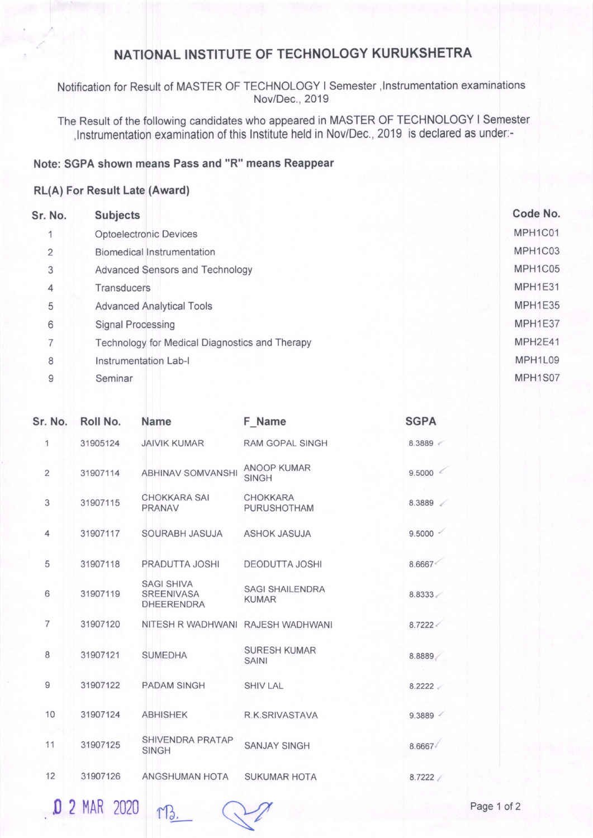## NATIONAL INSTITUTE OF TECHNOLOGY KURUKSHETRA

Notification for Result of MASTER OF TECHNOLOGY I Semester, Instrumentation examinations Nov/Dec.,2019

Instrumentation examination of this Institute held in Nov/Dec., 2019 is declared as under:-The Result of the following candidates who appeared in MASTER OF TECHNOLOGY I Semester

## Note: SGPA shown means Pass and "R" means Reappear

## RL(A) For Result (Award)

| Sr. No.        | <b>Subjects</b>                                | Code No. |
|----------------|------------------------------------------------|----------|
|                | <b>Optoelectronic Devices</b>                  | MPH1C01  |
| $\overline{2}$ | <b>Biomedical Instrumentation</b>              | MPH1C03  |
| 3              | Advanced Sensors and Technology                | MPH1C05  |
| 4              | <b>Transducers</b>                             | MPH1E31  |
| 5              | <b>Advanced Analytical Tools</b>               | MPH1E35  |
| 6              | <b>Signal Processing</b>                       | MPH1E37  |
| 7              | Technology for Medical Diagnostics and Therapy | MPH2E41  |
| 8              | <b>Instrumentation Lab-I</b>                   | MPH1L09  |
| 9              | Seminar                                        | MPH1S07  |

| Sr. No.        | Roll No.   | <b>Name</b>                                                 | F Name                                 | <b>SGPA</b> |
|----------------|------------|-------------------------------------------------------------|----------------------------------------|-------------|
| 1              | 31905124   | <b>JAIVIK KUMAR</b>                                         | <b>RAM GOPAL SINGH</b>                 | 8.3889      |
| $\overline{2}$ | 31907114   | <b>ABHINAV SOMVANSHI</b>                                    | ANOOP KUMAR<br><b>SINGH</b>            | 9.5000      |
| 3              | 31907115   | <b>CHOKKARA SAI</b><br>PRANAV                               | <b>CHOKKARA</b><br><b>PURUSHOTHAM</b>  | 8.3889      |
| $\overline{4}$ | 31907117   | SOURABH JASUJA                                              | <b>ASHOK JASUJA</b>                    | $9.5000 -$  |
| 5              | 31907118   | PRADUTTA JOSHI                                              | <b>DEODUTTA JOSHI</b>                  | 8.6667<     |
| 6              | 31907119   | <b>SAGI SHIVA</b><br><b>SREENIVASA</b><br><b>DHEERENDRA</b> | <b>SAGI SHAILENDRA</b><br><b>KUMAR</b> | 8.8333      |
| $\overline{7}$ | 31907120   | NITESH R WADHWANI RAJESH WADHWANI                           |                                        | 8.7222      |
| 8              | 31907121   | <b>SUMEDHA</b>                                              | <b>SURESH KUMAR</b><br><b>SAINI</b>    | 8.8889      |
| $\mathsf g$    | 31907122   | <b>PADAM SINGH</b>                                          | <b>SHIV LAL</b>                        | 8.2222      |
| 10             | 31907124   | <b>ABHISHEK</b>                                             | R.K.SRIVASTAVA                         | 9.3889      |
| 11             | 31907125   | SHIVENDRA PRATAP<br><b>SINGH</b>                            | <b>SANJAY SINGH</b>                    | 8.6667      |
| 12             | 31907126   | ANGSHUMAN HOTA                                              | <b>SUKUMAR HOTA</b>                    | 8.7222 /    |
| U              | 2 MAR 2020 | M3                                                          |                                        | Page 1 of 2 |